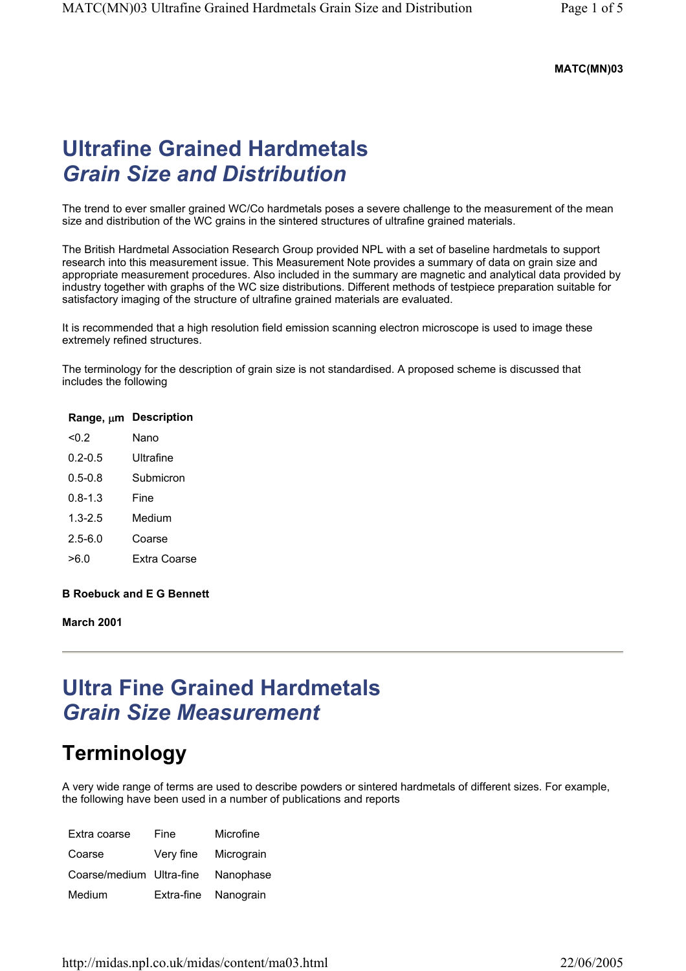#### **MATC(MN)03**

## **Ultrafine Grained Hardmetals**  *Grain Size and Distribution*

The trend to ever smaller grained WC/Co hardmetals poses a severe challenge to the measurement of the mean size and distribution of the WC grains in the sintered structures of ultrafine grained materials.

The British Hardmetal Association Research Group provided NPL with a set of baseline hardmetals to support research into this measurement issue. This Measurement Note provides a summary of data on grain size and appropriate measurement procedures. Also included in the summary are magnetic and analytical data provided by industry together with graphs of the WC size distributions. Different methods of testpiece preparation suitable for satisfactory imaging of the structure of ultrafine grained materials are evaluated.

It is recommended that a high resolution field emission scanning electron microscope is used to image these extremely refined structures.

The terminology for the description of grain size is not standardised. A proposed scheme is discussed that includes the following

#### **Range,** µ**m Description**

| < 0.2       | Nano         |
|-------------|--------------|
| $0.2 - 0.5$ | Ultrafine    |
| $0.5 - 0.8$ | Submicron    |
| $0.8 - 1.3$ | Fine         |
| $1.3 - 2.5$ | Medium       |
| $2.5 - 6.0$ | Coarse       |
| >6.0        | Extra Coarse |

#### **B Roebuck and E G Bennett**

**March 2001** 

## **Ultra Fine Grained Hardmetals**  *Grain Size Measurement*

### **Terminology**

A very wide range of terms are used to describe powders or sintered hardmetals of different sizes. For example, the following have been used in a number of publications and reports

| Extra coarse             | Fine       | Microfine  |
|--------------------------|------------|------------|
| Coarse                   | Very fine  | Micrograin |
| Coarse/medium Ultra-fine |            | Nanophase  |
| Medium                   | Extra-fine | Nanograin  |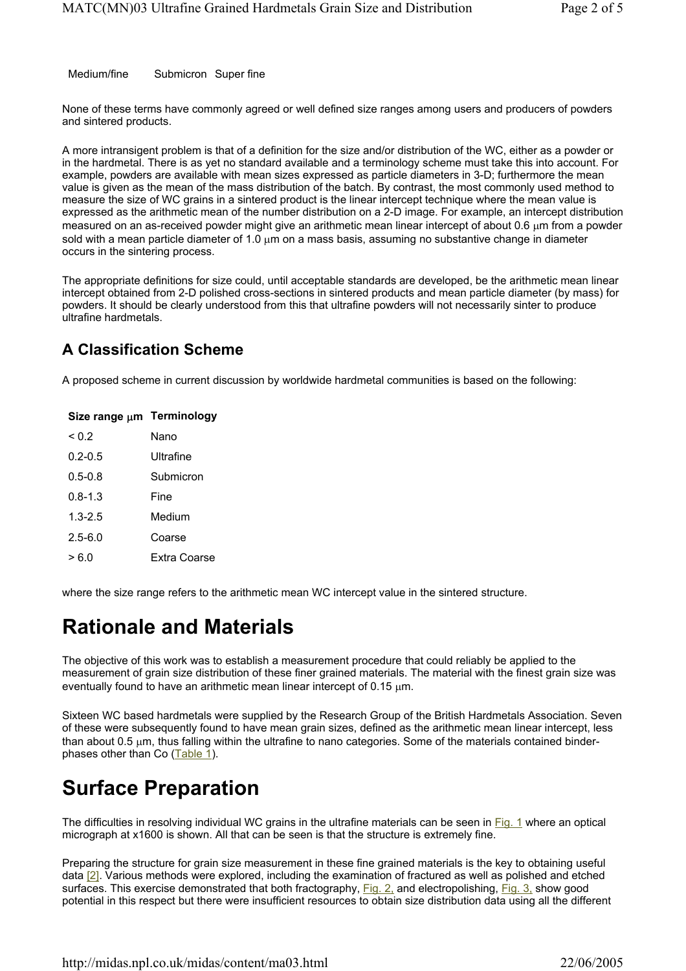Medium/fine Submicron Super fine

None of these terms have commonly agreed or well defined size ranges among users and producers of powders and sintered products.

A more intransigent problem is that of a definition for the size and/or distribution of the WC, either as a powder or in the hardmetal. There is as yet no standard available and a terminology scheme must take this into account. For example, powders are available with mean sizes expressed as particle diameters in 3-D; furthermore the mean value is given as the mean of the mass distribution of the batch. By contrast, the most commonly used method to measure the size of WC grains in a sintered product is the linear intercept technique where the mean value is expressed as the arithmetic mean of the number distribution on a 2-D image. For example, an intercept distribution measured on an as-received powder might give an arithmetic mean linear intercept of about 0.6 µm from a powder sold with a mean particle diameter of 1.0 um on a mass basis, assuming no substantive change in diameter occurs in the sintering process.

The appropriate definitions for size could, until acceptable standards are developed, be the arithmetic mean linear intercept obtained from 2-D polished cross-sections in sintered products and mean particle diameter (by mass) for powders. It should be clearly understood from this that ultrafine powders will not necessarily sinter to produce ultrafine hardmetals.

### **A Classification Scheme**

A proposed scheme in current discussion by worldwide hardmetal communities is based on the following:

| Size range µm | <b>Terminology</b> |
|---------------|--------------------|
| ${}^{<}$ 0.2  | Nano               |
| $0.2 - 0.5$   | Ultrafine          |
| $0.5 - 0.8$   | Submicron          |
| $0.8 - 1.3$   | Fine               |
| $1.3 - 2.5$   | Medium             |
| $2.5 - 6.0$   | Coarse             |
| > 6 0         | Extra Coarse       |
|               |                    |

where the size range refers to the arithmetic mean WC intercept value in the sintered structure.

### **Rationale and Materials**

The objective of this work was to establish a measurement procedure that could reliably be applied to the measurement of grain size distribution of these finer grained materials. The material with the finest grain size was eventually found to have an arithmetic mean linear intercept of 0.15  $\mu$ m.

Sixteen WC based hardmetals were supplied by the Research Group of the British Hardmetals Association. Seven of these were subsequently found to have mean grain sizes, defined as the arithmetic mean linear intercept, less than about 0.5 µm, thus falling within the ultrafine to nano categories. Some of the materials contained binderphases other than Co (Table 1).

# **Surface Preparation**

The difficulties in resolving individual WC grains in the ultrafine materials can be seen in Fig. 1 where an optical micrograph at x1600 is shown. All that can be seen is that the structure is extremely fine.

Preparing the structure for grain size measurement in these fine grained materials is the key to obtaining useful data [2]. Various methods were explored, including the examination of fractured as well as polished and etched surfaces. This exercise demonstrated that both fractography, Fig. 2, and electropolishing, Fig. 3, show good potential in this respect but there were insufficient resources to obtain size distribution data using all the different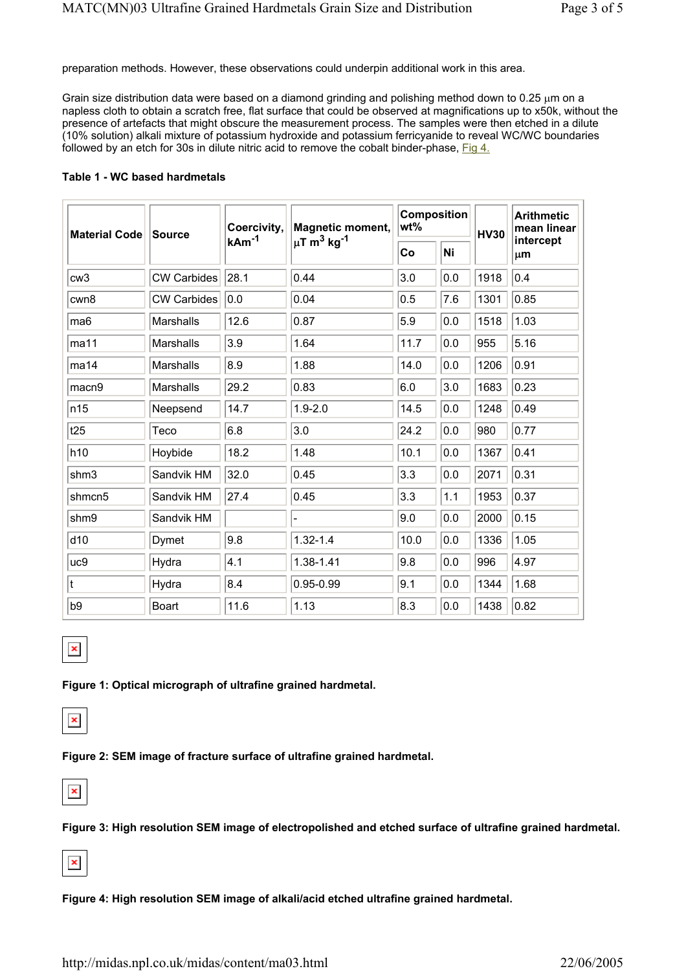preparation methods. However, these observations could underpin additional work in this area.

Grain size distribution data were based on a diamond grinding and polishing method down to  $0.25 \mu m$  on a napless cloth to obtain a scratch free, flat surface that could be observed at magnifications up to x50k, without the presence of artefacts that might obscure the measurement process. The samples were then etched in a dilute (10% solution) alkali mixture of potassium hydroxide and potassium ferricyanide to reveal WC/WC boundaries followed by an etch for 30s in dilute nitric acid to remove the cobalt binder-phase,  $Fig 4$ .

#### **Table 1 - WC based hardmetals**

| <b>Material Code</b> | <b>Source</b>      | Coercivity,<br>kAm <sup>-1</sup> | <b>Magnetic moment,</b><br>µT m <sup>3</sup> kg <sup>-1</sup> | <b>Composition</b><br>wt% |     | <b>HV30</b> | <b>Arithmetic</b><br>mean linear |
|----------------------|--------------------|----------------------------------|---------------------------------------------------------------|---------------------------|-----|-------------|----------------------------------|
|                      |                    |                                  |                                                               | Co                        | Ni  |             | intercept<br>μm                  |
| cw3                  | <b>CW Carbides</b> | 28.1                             | 0.44                                                          | 3.0                       | 0.0 | 1918        | 0.4                              |
| cwn8                 | <b>CW Carbides</b> | 0.0                              | 0.04                                                          | 0.5                       | 7.6 | 1301        | 0.85                             |
| ma <sub>6</sub>      | <b>Marshalls</b>   | 12.6                             | 0.87                                                          | 5.9                       | 0.0 | 1518        | 1.03                             |
| ma11                 | <b>Marshalls</b>   | 3.9                              | 1.64                                                          | 11.7                      | 0.0 | 955         | 5.16                             |
| ma14                 | Marshalls          | 8.9                              | 1.88                                                          | 14.0                      | 0.0 | 1206        | 0.91                             |
| macn9                | Marshalls          | 29.2                             | 0.83                                                          | 6.0                       | 3.0 | 1683        | 0.23                             |
| n15                  | Neepsend           | 14.7                             | $1.9 - 2.0$                                                   | 14.5                      | 0.0 | 1248        | 0.49                             |
| t25                  | Teco               | 6.8                              | 3.0                                                           | 24.2                      | 0.0 | 980         | 0.77                             |
| h10                  | Hoybide            | 18.2                             | 1.48                                                          | 10.1                      | 0.0 | 1367        | 0.41                             |
| shm3                 | Sandvik HM         | 32.0                             | 0.45                                                          | 3.3                       | 0.0 | 2071        | 0.31                             |
| shmcn5               | Sandvik HM         | 27.4                             | 0.45                                                          | 3.3                       | 1.1 | 1953        | 0.37                             |
| shm9                 | Sandvik HM         |                                  |                                                               | 9.0                       | 0.0 | 2000        | 0.15                             |
| d10                  | Dymet              | 9.8                              | $1.32 - 1.4$                                                  | 10.0                      | 0.0 | 1336        | 1.05                             |
| uc9                  | Hydra              | 4.1                              | 1.38-1.41                                                     | 9.8                       | 0.0 | 996         | 4.97                             |
| t                    | Hydra              | 8.4                              | 0.95-0.99                                                     | 9.1                       | 0.0 | 1344        | 1.68                             |
| b <sub>9</sub>       | <b>Boart</b>       | 11.6                             | 1.13                                                          | 8.3                       | 0.0 | 1438        | 0.82                             |



**Figure 1: Optical micrograph of ultrafine grained hardmetal.** 



**Figure 2: SEM image of fracture surface of ultrafine grained hardmetal.** 



**Figure 3: High resolution SEM image of electropolished and etched surface of ultrafine grained hardmetal.** 



**Figure 4: High resolution SEM image of alkali/acid etched ultrafine grained hardmetal.**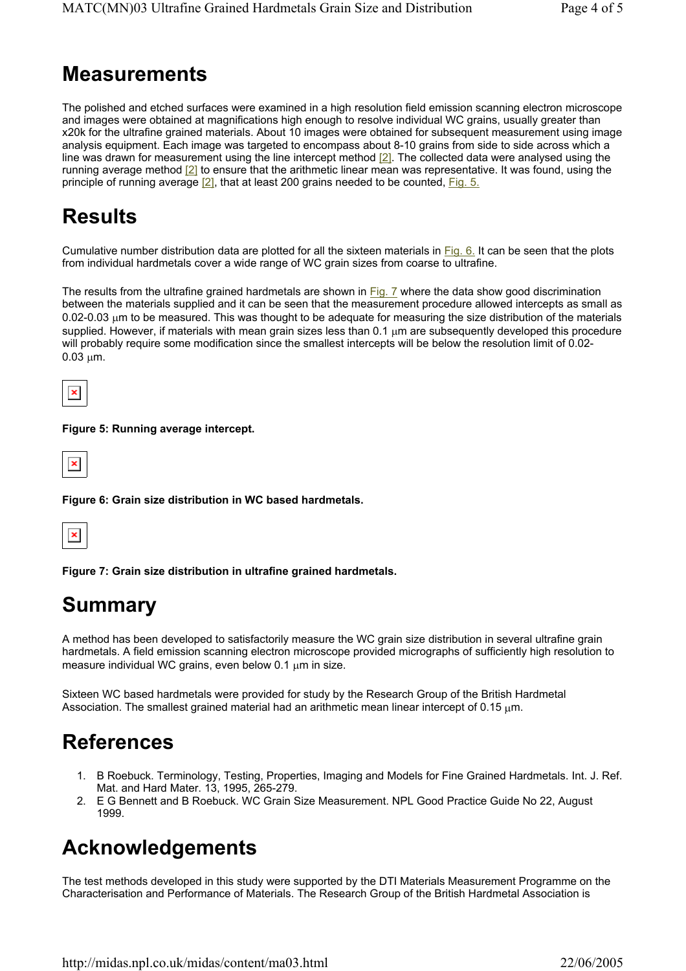### **Measurements**

The polished and etched surfaces were examined in a high resolution field emission scanning electron microscope and images were obtained at magnifications high enough to resolve individual WC grains, usually greater than x20k for the ultrafine grained materials. About 10 images were obtained for subsequent measurement using image analysis equipment. Each image was targeted to encompass about 8-10 grains from side to side across which a line was drawn for measurement using the line intercept method [2]. The collected data were analysed using the running average method [2] to ensure that the arithmetic linear mean was representative. It was found, using the principle of running average [2], that at least 200 grains needed to be counted, Fig. 5.

# **Results**

Cumulative number distribution data are plotted for all the sixteen materials in Fig. 6. It can be seen that the plots from individual hardmetals cover a wide range of WC grain sizes from coarse to ultrafine.

The results from the ultrafine grained hardmetals are shown in Fig. 7 where the data show good discrimination between the materials supplied and it can be seen that the measurement procedure allowed intercepts as small as 0.02-0.03 µm to be measured. This was thought to be adequate for measuring the size distribution of the materials supplied. However, if materials with mean grain sizes less than 0.1  $\mu$ m are subsequently developed this procedure will probably require some modification since the smallest intercepts will be below the resolution limit of 0.02-  $0.03 \mu m$ .



#### **Figure 5: Running average intercept.**



**Figure 6: Grain size distribution in WC based hardmetals.** 



**Figure 7: Grain size distribution in ultrafine grained hardmetals.** 

### **Summary**

A method has been developed to satisfactorily measure the WC grain size distribution in several ultrafine grain hardmetals. A field emission scanning electron microscope provided micrographs of sufficiently high resolution to measure individual WC grains, even below 0.1  $\mu$ m in size.

Sixteen WC based hardmetals were provided for study by the Research Group of the British Hardmetal Association. The smallest grained material had an arithmetic mean linear intercept of 0.15  $\mu$ m.

### **References**

- 1. B Roebuck. Terminology, Testing, Properties, Imaging and Models for Fine Grained Hardmetals. Int. J. Ref. Mat. and Hard Mater. 13, 1995, 265-279.
- 2. E G Bennett and B Roebuck. WC Grain Size Measurement. NPL Good Practice Guide No 22, August 1999.

### **Acknowledgements**

The test methods developed in this study were supported by the DTI Materials Measurement Programme on the Characterisation and Performance of Materials. The Research Group of the British Hardmetal Association is